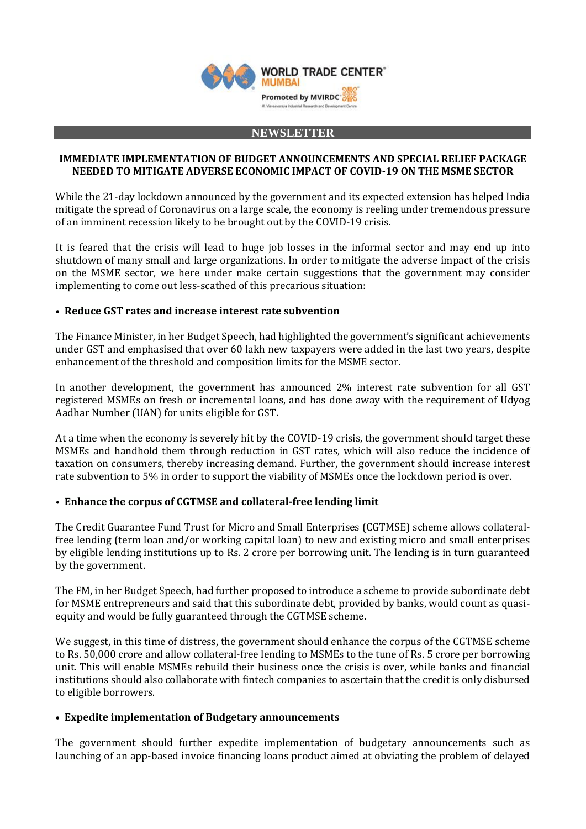

#### **NEWSLETTER**

### **IMMEDIATE IMPLEMENTATION OF BUDGET ANNOUNCEMENTS AND SPECIAL RELIEF PACKAGE NEEDED TO MITIGATE ADVERSE ECONOMIC IMPACT OF COVID-19 ON THE MSME SECTOR**

While the 21-day lockdown announced by the government and its expected extension has helped India mitigate the spread of Coronavirus on a large scale, the economy is reeling under tremendous pressure of an imminent recession likely to be brought out by the COVID-19 crisis.

It is feared that the crisis will lead to huge job losses in the informal sector and may end up into shutdown of many small and large organizations. In order to mitigate the adverse impact of the crisis on the MSME sector, we here under make certain suggestions that the government may consider implementing to come out less-scathed of this precarious situation:

### **• Reduce GST rates and increase interest rate subvention**

The Finance Minister, in her Budget Speech, had highlighted the government's significant achievements under GST and emphasised that over 60 lakh new taxpayers were added in the last two years, despite enhancement of the threshold and composition limits for the MSME sector.

In another development, the government has announced 2% interest rate subvention for all GST registered MSMEs on fresh or incremental loans, and has done away with the requirement of Udyog Aadhar Number (UAN) for units eligible for GST.

At a time when the economy is severely hit by the COVID-19 crisis, the government should target these MSMEs and handhold them through reduction in GST rates, which will also reduce the incidence of taxation on consumers, thereby increasing demand. Further, the government should increase interest rate subvention to 5% in order to support the viability of MSMEs once the lockdown period is over.

### • **Enhance the corpus of CGTMSE and collateral-free lending limit**

The Credit Guarantee Fund Trust for Micro and Small Enterprises (CGTMSE) scheme allows collateralfree lending (term loan and/or working capital loan) to new and existing micro and small enterprises by eligible lending institutions up to Rs. 2 crore per borrowing unit. The lending is in turn guaranteed by the government.

The FM, in her Budget Speech, had further proposed to introduce a scheme to provide subordinate debt for MSME entrepreneurs and said that this subordinate debt, provided by banks, would count as quasiequity and would be fully guaranteed through the CGTMSE scheme.

We suggest, in this time of distress, the government should enhance the corpus of the CGTMSE scheme to Rs. 50,000 crore and allow collateral-free lending to MSMEs to the tune of Rs. 5 crore per borrowing unit. This will enable MSMEs rebuild their business once the crisis is over, while banks and financial institutions should also collaborate with fintech companies to ascertain that the credit is only disbursed to eligible borrowers.

### **• Expedite implementation of Budgetary announcements**

The government should further expedite implementation of budgetary announcements such as launching of an app-based invoice financing loans product aimed at obviating the problem of delayed